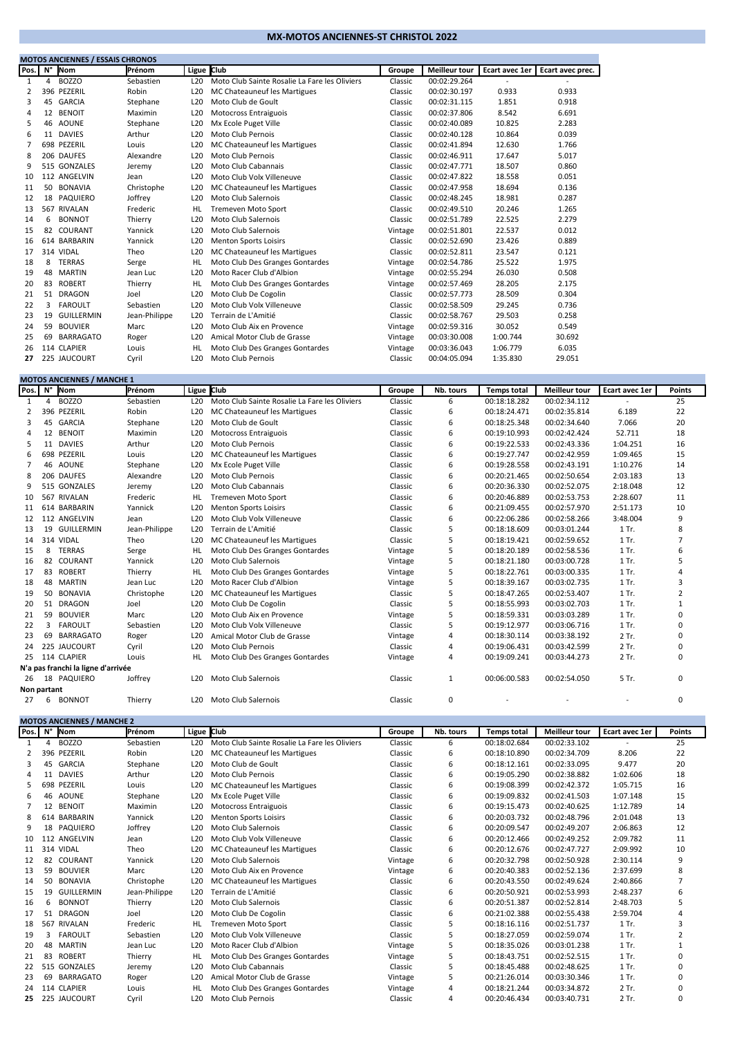## **MX-MOTOS ANCIENNES-ST CHRISTOL 2022**

|                | <b>MOTOS ANCIENNES / ESSAIS CHRONOS</b> |                   |               |                 |                                               |         |                      |                |                  |  |  |  |  |  |
|----------------|-----------------------------------------|-------------------|---------------|-----------------|-----------------------------------------------|---------|----------------------|----------------|------------------|--|--|--|--|--|
| Pos.           |                                         | N° Nom            | Prénom        | Ligue           | <b>Club</b>                                   | Groupe  | <b>Meilleur tour</b> | Ecart avec 1er | Ecart avec prec. |  |  |  |  |  |
| 1              | 4                                       | <b>BOZZO</b>      | Sebastien     | L20             | Moto Club Sainte Rosalie La Fare les Oliviers | Classic | 00:02:29.264         |                |                  |  |  |  |  |  |
| 2              |                                         | 396 PEZERIL       | Robin         | L <sub>20</sub> | MC Chateauneuf les Martigues                  | Classic | 00:02:30.197         | 0.933          | 0.933            |  |  |  |  |  |
| 3              |                                         | 45 GARCIA         | Stephane      | L <sub>20</sub> | Moto Club de Goult                            | Classic | 00:02:31.115         | 1.851          | 0.918            |  |  |  |  |  |
| $\overline{4}$ |                                         | 12 BENOIT         | Maximin       | L <sub>20</sub> | Motocross Entraiguois                         | Classic | 00:02:37.806         | 8.542          | 6.691            |  |  |  |  |  |
| 5              | 46                                      | AOUNE             | Stephane      | L <sub>20</sub> | Mx Ecole Puget Ville                          | Classic | 00:02:40.089         | 10.825         | 2.283            |  |  |  |  |  |
| 6              |                                         | 11 DAVIES         | Arthur        | L <sub>20</sub> | Moto Club Pernois                             | Classic | 00:02:40.128         | 10.864         | 0.039            |  |  |  |  |  |
| 7              |                                         | 698 PEZERIL       | Louis         | L <sub>20</sub> | MC Chateauneuf les Martigues                  | Classic | 00:02:41.894         | 12.630         | 1.766            |  |  |  |  |  |
| 8              |                                         | 206 DAUFES        | Alexandre     | L <sub>20</sub> | Moto Club Pernois                             | Classic | 00:02:46.911         | 17.647         | 5.017            |  |  |  |  |  |
| 9              |                                         | 515 GONZALES      | Jeremy        | L <sub>20</sub> | Moto Club Cabannais                           | Classic | 00:02:47.771         | 18.507         | 0.860            |  |  |  |  |  |
| 10             |                                         | 112 ANGELVIN      | Jean          | L <sub>20</sub> | Moto Club Volx Villeneuve                     | Classic | 00:02:47.822         | 18.558         | 0.051            |  |  |  |  |  |
| 11             | 50                                      | <b>BONAVIA</b>    | Christophe    | L <sub>20</sub> | MC Chateauneuf les Martigues                  | Classic | 00:02:47.958         | 18.694         | 0.136            |  |  |  |  |  |
| 12             | 18                                      | PAQUIERO          | Joffrey       | L <sub>20</sub> | Moto Club Salernois                           | Classic | 00:02:48.245         | 18.981         | 0.287            |  |  |  |  |  |
| 13             |                                         | 567 RIVALAN       | Frederic      | HL              | Tremeven Moto Sport                           | Classic | 00:02:49.510         | 20.246         | 1.265            |  |  |  |  |  |
| 14             | 6                                       | <b>BONNOT</b>     | Thierry       | L <sub>20</sub> | Moto Club Salernois                           | Classic | 00:02:51.789         | 22.525         | 2.279            |  |  |  |  |  |
| 15             | 82                                      | COURANT           | Yannick       | L <sub>20</sub> | Moto Club Salernois                           | Vintage | 00:02:51.801         | 22.537         | 0.012            |  |  |  |  |  |
| 16             |                                         | 614 BARBARIN      | Yannick       | L <sub>20</sub> | <b>Menton Sports Loisirs</b>                  | Classic | 00:02:52.690         | 23.426         | 0.889            |  |  |  |  |  |
| 17             |                                         | 314 VIDAL         | Theo          | L <sub>20</sub> | MC Chateauneuf les Martigues                  | Classic | 00:02:52.811         | 23.547         | 0.121            |  |  |  |  |  |
| 18             | 8                                       | <b>TERRAS</b>     | Serge         | HL.             | Moto Club Des Granges Gontardes               | Vintage | 00:02:54.786         | 25.522         | 1.975            |  |  |  |  |  |
| 19             | 48                                      | <b>MARTIN</b>     | Jean Luc      | L <sub>20</sub> | Moto Racer Club d'Albion                      | Vintage | 00:02:55.294         | 26.030         | 0.508            |  |  |  |  |  |
| 20             | 83                                      | <b>ROBERT</b>     | Thierry       | HL              | Moto Club Des Granges Gontardes               | Vintage | 00:02:57.469         | 28.205         | 2.175            |  |  |  |  |  |
| 21             |                                         | 51 DRAGON         | Joel          | L <sub>20</sub> | Moto Club De Cogolin                          | Classic | 00:02:57.773         | 28.509         | 0.304            |  |  |  |  |  |
| 22             | 3                                       | <b>FAROULT</b>    | Sebastien     | L <sub>20</sub> | Moto Club Volx Villeneuve                     | Classic | 00:02:58.509         | 29.245         | 0.736            |  |  |  |  |  |
| 23             | 19                                      | <b>GUILLERMIN</b> | Jean-Philippe | L <sub>20</sub> | Terrain de L'Amitié                           | Classic | 00:02:58.767         | 29.503         | 0.258            |  |  |  |  |  |
| 24             | 59                                      | <b>BOUVIER</b>    | Marc          | L <sub>20</sub> | Moto Club Aix en Provence                     | Vintage | 00:02:59.316         | 30.052         | 0.549            |  |  |  |  |  |
| 25             | 69                                      | <b>BARRAGATO</b>  | Roger         | L <sub>20</sub> | Amical Motor Club de Grasse                   | Vintage | 00:03:30.008         | 1:00.744       | 30.692           |  |  |  |  |  |
| 26             |                                         | 114 CLAPIER       | Louis         | HL              | Moto Club Des Granges Gontardes               | Vintage | 00:03:36.043         | 1:06.779       | 6.035            |  |  |  |  |  |
| 27             |                                         | 225 JAUCOURT      | Cyril         | L20             | Moto Club Pernois                             | Classic | 00:04:05.094         | 1:35.830       | 29.051           |  |  |  |  |  |

|             | <b>MOTOS ANCIENNES / MANCHE 1</b> |                                    |               |                 |                                               |         |                |                    |                      |                |                |  |  |  |
|-------------|-----------------------------------|------------------------------------|---------------|-----------------|-----------------------------------------------|---------|----------------|--------------------|----------------------|----------------|----------------|--|--|--|
| Pos.        |                                   | N° Nom                             | Prénom        | Ligue Club      |                                               | Groupe  | Nb. tours      | <b>Temps total</b> | <b>Meilleur tour</b> | Ecart avec 1er | <b>Points</b>  |  |  |  |
| 1           | 4                                 | <b>BOZZO</b>                       | Sebastien     | L20             | Moto Club Sainte Rosalie La Fare les Oliviers | Classic | 6              | 00:18:18.282       | 00:02:34.112         |                | 25             |  |  |  |
|             |                                   | 396 PEZERIL                        | Robin         | L <sub>20</sub> | MC Chateauneuf les Martigues                  | Classic | 6              | 00:18:24.471       | 00:02:35.814         | 6.189          | 22             |  |  |  |
| 3           |                                   | 45 GARCIA                          | Stephane      | L <sub>20</sub> | Moto Club de Goult                            | Classic | 6              | 00:18:25.348       | 00:02:34.640         | 7.066          | 20             |  |  |  |
| 4           | 12                                | <b>BENOIT</b>                      | Maximin       | L <sub>20</sub> | Motocross Entraiguois                         | Classic | 6              | 00:19:10.993       | 00:02:42.424         | 52.711         | 18             |  |  |  |
| 5           |                                   | 11 DAVIES                          | Arthur        | L <sub>20</sub> | Moto Club Pernois                             | Classic | 6              | 00:19:22.533       | 00:02:43.336         | 1:04.251       | 16             |  |  |  |
| 6           |                                   | 698 PEZERIL                        | Louis         | L <sub>20</sub> | MC Chateauneuf les Martigues                  | Classic | 6              | 00:19:27.747       | 00:02:42.959         | 1:09.465       | 15             |  |  |  |
|             |                                   | 46 AOUNE                           | Stephane      | L <sub>20</sub> | Mx Ecole Puget Ville                          | Classic | 6              | 00:19:28.558       | 00:02:43.191         | 1:10.276       | 14             |  |  |  |
| 8           |                                   | 206 DAUFES                         | Alexandre     | L <sub>20</sub> | Moto Club Pernois                             | Classic | 6              | 00:20:21.465       | 00:02:50.654         | 2:03.183       | 13             |  |  |  |
| 9           |                                   | 515 GONZALES                       | Jeremy        | L <sub>20</sub> | Moto Club Cabannais                           | Classic | 6              | 00:20:36.330       | 00:02:52.075         | 2:18.048       | 12             |  |  |  |
| 10          |                                   | 567 RIVALAN                        | Frederic      | HL              | Tremeven Moto Sport                           | Classic | 6              | 00:20:46.889       | 00:02:53.753         | 2:28.607       | 11             |  |  |  |
| 11          |                                   | 614 BARBARIN                       | Yannick       | L <sub>20</sub> | <b>Menton Sports Loisirs</b>                  | Classic | 6              | 00:21:09.455       | 00:02:57.970         | 2:51.173       | 10             |  |  |  |
| 12          |                                   | 112 ANGELVIN                       | Jean          | L <sub>20</sub> | Moto Club Volx Villeneuve                     | Classic | 6              | 00:22:06.286       | 00:02:58.266         | 3:48.004       | 9              |  |  |  |
| 13          | 19                                | <b>GUILLERMIN</b>                  | Jean-Philippe | L20             | Terrain de L'Amitié                           | Classic | 5              | 00:18:18.609       | 00:03:01.244         | 1 Tr.          | 8              |  |  |  |
| 14          |                                   | 314 VIDAL                          | Theo          | L <sub>20</sub> | MC Chateauneuf les Martigues                  | Classic | 5              | 00:18:19.421       | 00:02:59.652         | 1 Tr.          | 7              |  |  |  |
| 15          | 8                                 | <b>TERRAS</b>                      | Serge         | HL              | Moto Club Des Granges Gontardes               | Vintage | 5              | 00:18:20.189       | 00:02:58.536         | 1 Tr.          | 6              |  |  |  |
| 16          | 82                                | COURANT                            | Yannick       | L <sub>20</sub> | Moto Club Salernois                           | Vintage | 5              | 00:18:21.180       | 00:03:00.728         | 1 Tr.          | 5              |  |  |  |
| 17          | 83                                | <b>ROBERT</b>                      | Thierry       | HL              | Moto Club Des Granges Gontardes               | Vintage | 5              | 00:18:22.761       | 00:03:00.335         | 1 Tr.          | 4              |  |  |  |
| 18          | 48                                | <b>MARTIN</b>                      | Jean Luc      | L <sub>20</sub> | Moto Racer Club d'Albion                      | Vintage | 5              | 00:18:39.167       | 00:03:02.735         | 1 Tr.          | 3              |  |  |  |
| 19          | 50                                | <b>BONAVIA</b>                     | Christophe    | L <sub>20</sub> | MC Chateauneuf les Martigues                  | Classic | 5              | 00:18:47.265       | 00:02:53.407         | 1 Tr.          | $\overline{2}$ |  |  |  |
| 20          |                                   | 51 DRAGON                          | Joel          | L <sub>20</sub> | Moto Club De Cogolin                          | Classic | 5              | 00:18:55.993       | 00:03:02.703         | 1 Tr.          | $\mathbf{1}$   |  |  |  |
| 21          |                                   | 59 BOUVIER                         | Marc          | L <sub>20</sub> | Moto Club Aix en Provence                     | Vintage | 5              | 00:18:59.331       | 00:03:03.289         | 1 Tr.          | 0              |  |  |  |
| 22          | 3                                 | <b>FAROULT</b>                     | Sebastien     | L <sub>20</sub> | Moto Club Volx Villeneuve                     | Classic | 5              | 00:19:12.977       | 00:03:06.716         | 1 Tr.          | 0              |  |  |  |
| 23          | 69                                | <b>BARRAGATO</b>                   | Roger         | L <sub>20</sub> | Amical Motor Club de Grasse                   | Vintage | 4              | 00:18:30.114       | 00:03:38.192         | 2 Tr.          | $\Omega$       |  |  |  |
| 24          |                                   | 225 JAUCOURT                       | Cyril         | L <sub>20</sub> | Moto Club Pernois                             | Classic | $\overline{4}$ | 00:19:06.431       | 00:03:42.599         | 2 Tr.          | 0              |  |  |  |
| 25          |                                   | 114 CLAPIER                        | Louis         | <b>HL</b>       | Moto Club Des Granges Gontardes               | Vintage | $\overline{4}$ | 00:19:09.241       | 00:03:44.273         | 2 Tr.          | 0              |  |  |  |
|             |                                   | N'a pas franchi la ligne d'arrivée |               |                 |                                               |         |                |                    |                      |                |                |  |  |  |
| 26          | 18                                | PAQUIERO                           | Joffrey       | L20             | Moto Club Salernois                           | Classic | $\mathbf{1}$   | 00:06:00.583       | 00:02:54.050         | 5 Tr.          | 0              |  |  |  |
| Non partant |                                   |                                    |               |                 |                                               |         |                |                    |                      |                |                |  |  |  |
| 27          | 6                                 | <b>BONNOT</b>                      | Thierry       | L20             | Moto Club Salernois                           | Classic | 0              |                    |                      |                | 0              |  |  |  |

|      | <b>MOTOS ANCIENNES / MANCHE 2</b> |                   |               |                 |                                               |         |           |                    |                      |                |                |  |  |  |
|------|-----------------------------------|-------------------|---------------|-----------------|-----------------------------------------------|---------|-----------|--------------------|----------------------|----------------|----------------|--|--|--|
| Pos. | N°                                | <b>Nom</b>        | Prénom        | Ligue           | <b>Club</b>                                   | Groupe  | Nb. tours | <b>Temps total</b> | <b>Meilleur tour</b> | Ecart avec 1er | <b>Points</b>  |  |  |  |
|      | $\Delta$                          | <b>BOZZO</b>      | Sebastien     | L20             | Moto Club Sainte Rosalie La Fare les Oliviers | Classic | 6         | 00:18:02.684       | 00:02:33.102         |                | 25             |  |  |  |
| 2    |                                   | 396 PEZERIL       | Robin         | L <sub>20</sub> | MC Chateauneuf les Martigues                  | Classic | 6         | 00:18:10.890       | 00:02:34.709         | 8.206          | 22             |  |  |  |
| 3    | 45                                | <b>GARCIA</b>     | Stephane      | L <sub>20</sub> | Moto Club de Goult                            | Classic | 6         | 00:18:12.161       | 00:02:33.095         | 9.477          | 20             |  |  |  |
| 4    | 11                                | <b>DAVIES</b>     | Arthur        | L20             | Moto Club Pernois                             | Classic | 6         | 00:19:05.290       | 00:02:38.882         | 1:02.606       | 18             |  |  |  |
| 5    |                                   | 698 PEZERIL       | Louis         | L <sub>20</sub> | MC Chateauneuf les Martigues                  | Classic | 6         | 00:19:08.399       | 00:02:42.372         | 1:05.715       | 16             |  |  |  |
| 6    | 46                                | <b>AOUNE</b>      | Stephane      | L <sub>20</sub> | Mx Ecole Puget Ville                          | Classic | 6         | 00:19:09.832       | 00:02:41.503         | 1:07.148       | 15             |  |  |  |
|      | 12                                | <b>BENOIT</b>     | Maximin       | L <sub>20</sub> | Motocross Entraiguois                         | Classic | 6         | 00:19:15.473       | 00:02:40.625         | 1:12.789       | 14             |  |  |  |
| 8    |                                   | 614 BARBARIN      | Yannick       | L <sub>20</sub> | <b>Menton Sports Loisirs</b>                  | Classic | 6         | 00:20:03.732       | 00:02:48.796         | 2:01.048       | 13             |  |  |  |
| 9    | 18                                | <b>PAQUIERO</b>   | Joffrey       | L <sub>20</sub> | Moto Club Salernois                           | Classic | 6         | 00:20:09.547       | 00:02:49.207         | 2:06.863       | 12             |  |  |  |
| 10   |                                   | 112 ANGELVIN      | Jean          | L <sub>20</sub> | Moto Club Volx Villeneuve                     | Classic | 6         | 00:20:12.466       | 00:02:49.252         | 2:09.782       | 11             |  |  |  |
| 11   |                                   | 314 VIDAL         | Theo          | L <sub>20</sub> | MC Chateauneuf les Martigues                  | Classic | 6         | 00:20:12.676       | 00:02:47.727         | 2:09.992       | 10             |  |  |  |
| 12   | 82                                | COURANT           | Yannick       | L20             | Moto Club Salernois                           | Vintage | 6         | 00:20:32.798       | 00:02:50.928         | 2:30.114       | 9              |  |  |  |
| 13   | 59                                | <b>BOUVIER</b>    | Marc          | L20             | Moto Club Aix en Provence                     | Vintage | 6         | 00:20:40.383       | 00:02:52.136         | 2:37.699       | 8              |  |  |  |
| 14   | 50                                | BONAVIA           | Christophe    | L <sub>20</sub> | MC Chateauneuf les Martigues                  | Classic | 6         | 00:20:43.550       | 00:02:49.624         | 2:40.866       | 7              |  |  |  |
| 15   | 19                                | <b>GUILLERMIN</b> | Jean-Philippe | L <sub>20</sub> | Terrain de L'Amitié                           | Classic | 6         | 00:20:50.921       | 00:02:53.993         | 2:48.237       | 6              |  |  |  |
| 16   | 6                                 | <b>BONNOT</b>     | Thierry       | L20             | Moto Club Salernois                           | Classic | 6         | 00:20:51.387       | 00:02:52.814         | 2:48.703       |                |  |  |  |
| 17   | 51                                | <b>DRAGON</b>     | Joel          | L <sub>20</sub> | Moto Club De Cogolin                          | Classic | 6         | 00:21:02.388       | 00:02:55.438         | 2:59.704       | 4              |  |  |  |
| 18   |                                   | 567 RIVALAN       | Frederic      | HL              | <b>Tremeven Moto Sport</b>                    | Classic | 5         | 00:18:16.116       | 00:02:51.737         | 1 Tr.          | 3              |  |  |  |
| 19   | 3                                 | <b>FAROULT</b>    | Sebastien     | L <sub>20</sub> | Moto Club Volx Villeneuve                     | Classic | 5         | 00:18:27.059       | 00:02:59.074         | 1 Tr.          | $\overline{2}$ |  |  |  |
| 20   | 48                                | <b>MARTIN</b>     | Jean Luc      | L20             | Moto Racer Club d'Albion                      | Vintage | 5         | 00:18:35.026       | 00:03:01.238         | 1 Tr.          | $\mathbf{1}$   |  |  |  |
| 21   | 83                                | <b>ROBERT</b>     | Thierry       | HL              | Moto Club Des Granges Gontardes               | Vintage | 5         | 00:18:43.751       | 00:02:52.515         | 1 Tr.          | $\Omega$       |  |  |  |
| 22   |                                   | 515 GONZALES      | Jeremy        | L <sub>20</sub> | Moto Club Cabannais                           | Classic | 5         | 00:18:45.488       | 00:02:48.625         | 1 Tr.          | 0              |  |  |  |
| 23   | 69                                | <b>BARRAGATO</b>  | Roger         | L <sub>20</sub> | Amical Motor Club de Grasse                   | Vintage | 5         | 00:21:26.014       | 00:03:30.346         | 1 Tr.          | $\Omega$       |  |  |  |
| 24   |                                   | 114 CLAPIER       | Louis         | <b>HL</b>       | Moto Club Des Granges Gontardes               | Vintage | 4         | 00:18:21.244       | 00:03:34.872         | 2 Tr.          | $\Omega$       |  |  |  |
| 25   |                                   | 225 JAUCOURT      | Cyril         | L <sub>20</sub> | Moto Club Pernois                             | Classic | 4         | 00:20:46.434       | 00:03:40.731         | 2 Tr.          | $\Omega$       |  |  |  |